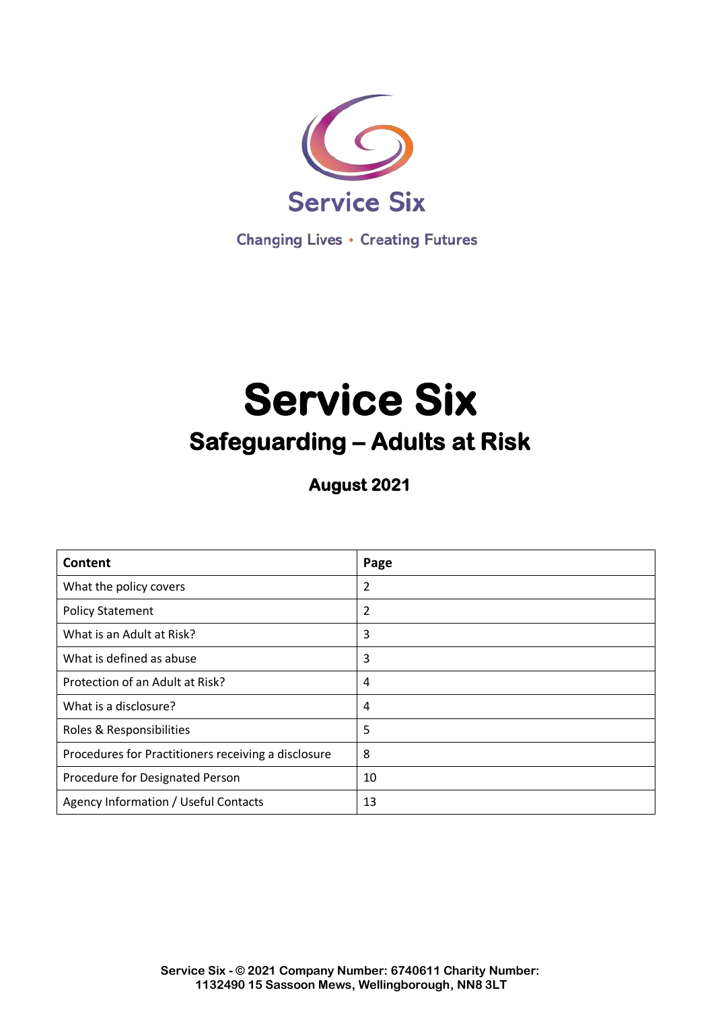

**Changing Lives • Creating Futures** 

# **Service Six Safeguarding – Adults at Risk**

**August 2021** 

| Content                                             | Page |
|-----------------------------------------------------|------|
| What the policy covers                              | 2    |
| <b>Policy Statement</b>                             | 2    |
| What is an Adult at Risk?                           | 3    |
| What is defined as abuse                            | 3    |
| Protection of an Adult at Risk?                     | 4    |
| What is a disclosure?                               | 4    |
| Roles & Responsibilities                            | 5    |
| Procedures for Practitioners receiving a disclosure | 8    |
| Procedure for Designated Person                     | 10   |
| Agency Information / Useful Contacts                | 13   |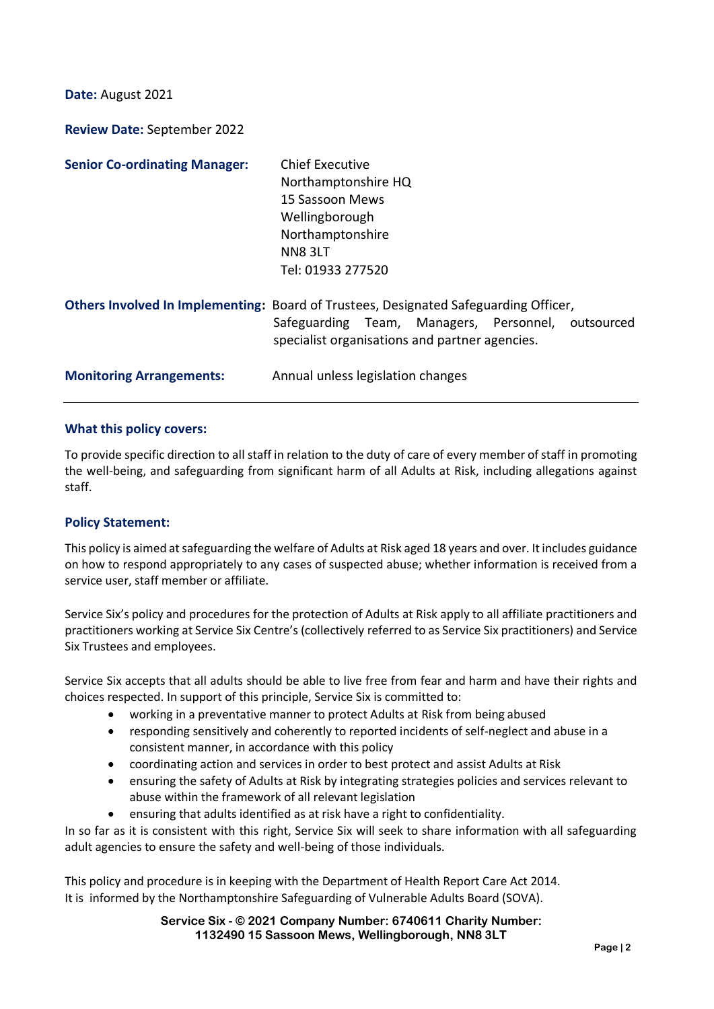**Date:** August 2021

**Review Date:** September 2022

| <b>Senior Co-ordinating Manager:</b> | Chief Executive<br>Northamptonshire HQ<br>15 Sassoon Mews<br>Wellingborough<br>Northamptonshire<br>NN8 3LT<br>Tel: 01933 277520                                                              |
|--------------------------------------|----------------------------------------------------------------------------------------------------------------------------------------------------------------------------------------------|
|                                      | Others Involved In Implementing: Board of Trustees, Designated Safeguarding Officer,<br>Safeguarding Team, Managers, Personnel, outsourced<br>specialist organisations and partner agencies. |
| <b>Monitoring Arrangements:</b>      | Annual unless legislation changes                                                                                                                                                            |

#### **What this policy covers:**

To provide specific direction to all staff in relation to the duty of care of every member of staff in promoting the well-being, and safeguarding from significant harm of all Adults at Risk, including allegations against staff.

### **Policy Statement:**

This policy is aimed at safeguarding the welfare of Adults at Risk aged 18 years and over. It includes guidance on how to respond appropriately to any cases of suspected abuse; whether information is received from a service user, staff member or affiliate.

Service Six's policy and procedures for the protection of Adults at Risk apply to all affiliate practitioners and practitioners working at Service Six Centre's (collectively referred to as Service Six practitioners) and Service Six Trustees and employees.

Service Six accepts that all adults should be able to live free from fear and harm and have their rights and choices respected. In support of this principle, Service Six is committed to:

- working in a preventative manner to protect Adults at Risk from being abused
- responding sensitively and coherently to reported incidents of self-neglect and abuse in a consistent manner, in accordance with this policy
- coordinating action and services in order to best protect and assist Adults at Risk
- ensuring the safety of Adults at Risk by integrating strategies policies and services relevant to abuse within the framework of all relevant legislation
- ensuring that adults identified as at risk have a right to confidentiality.

In so far as it is consistent with this right, Service Six will seek to share information with all safeguarding adult agencies to ensure the safety and well-being of those individuals.

This policy and procedure is in keeping with the Department of Health Report Care Act 2014. It is informed by the Northamptonshire Safeguarding of Vulnerable Adults Board (SOVA).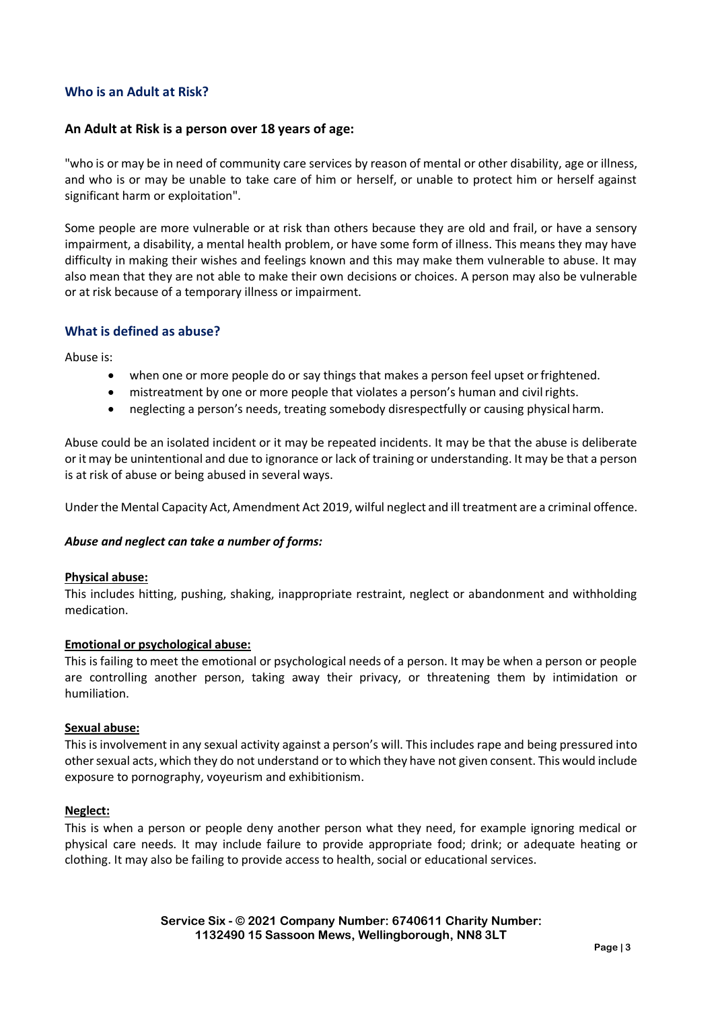## **Who is an Adult at Risk?**

## **An Adult at Risk is a person over 18 years of age:**

"who is or may be in need of community care services by reason of mental or other disability, age or illness, and who is or may be unable to take care of him or herself, or unable to protect him or herself against significant harm or exploitation".

Some people are more vulnerable or at risk than others because they are old and frail, or have a sensory impairment, a disability, a mental health problem, or have some form of illness. This means they may have difficulty in making their wishes and feelings known and this may make them vulnerable to abuse. It may also mean that they are not able to make their own decisions or choices. A person may also be vulnerable or at risk because of a temporary illness or impairment.

### **What is defined as abuse?**

Abuse is:

- when one or more people do or say things that makes a person feel upset orfrightened.
- mistreatment by one or more people that violates a person's human and civilrights.
- neglecting a person's needs, treating somebody disrespectfully or causing physical harm.

Abuse could be an isolated incident or it may be repeated incidents. It may be that the abuse is deliberate or it may be unintentional and due to ignorance or lack of training or understanding. It may be that a person is at risk of abuse or being abused in several ways.

Under the Mental Capacity Act, Amendment Act 2019, wilful neglect and ill treatment are a criminal offence.

### *Abuse and neglect can take a number of forms:*

#### **Physical abuse:**

This includes hitting, pushing, shaking, inappropriate restraint, neglect or abandonment and withholding medication.

### **Emotional or psychological abuse:**

This is failing to meet the emotional or psychological needs of a person. It may be when a person or people are controlling another person, taking away their privacy, or threatening them by intimidation or humiliation.

#### **Sexual abuse:**

This is involvement in any sexual activity against a person's will. This includes rape and being pressured into other sexual acts, which they do not understand or to which they have not given consent. This would include exposure to pornography, voyeurism and exhibitionism.

#### **Neglect:**

This is when a person or people deny another person what they need, for example ignoring medical or physical care needs. It may include failure to provide appropriate food; drink; or adequate heating or clothing. It may also be failing to provide access to health, social or educational services.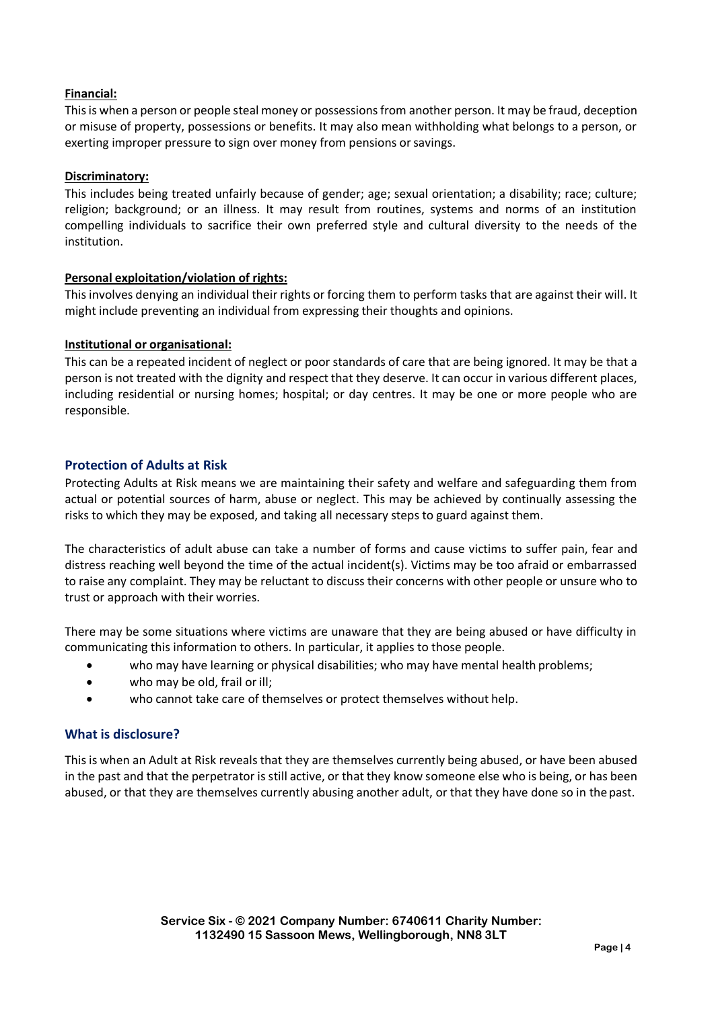## **Financial:**

Thisis when a person or people steal money or possessionsfrom another person. It may be fraud, deception or misuse of property, possessions or benefits. It may also mean withholding what belongs to a person, or exerting improper pressure to sign over money from pensions or savings.

## **Discriminatory:**

This includes being treated unfairly because of gender; age; sexual orientation; a disability; race; culture; religion; background; or an illness. It may result from routines, systems and norms of an institution compelling individuals to sacrifice their own preferred style and cultural diversity to the needs of the institution.

## **Personal exploitation/violation of rights:**

This involves denying an individual their rights or forcing them to perform tasks that are against their will. It might include preventing an individual from expressing their thoughts and opinions.

### **Institutional or organisational:**

This can be a repeated incident of neglect or poor standards of care that are being ignored. It may be that a person is not treated with the dignity and respect that they deserve. It can occur in various different places, including residential or nursing homes; hospital; or day centres. It may be one or more people who are responsible.

## **Protection of Adults at Risk**

Protecting Adults at Risk means we are maintaining their safety and welfare and safeguarding them from actual or potential sources of harm, abuse or neglect. This may be achieved by continually assessing the risks to which they may be exposed, and taking all necessary steps to guard against them.

The characteristics of adult abuse can take a number of forms and cause victims to suffer pain, fear and distress reaching well beyond the time of the actual incident(s). Victims may be too afraid or embarrassed to raise any complaint. They may be reluctant to discuss their concerns with other people or unsure who to trust or approach with their worries.

There may be some situations where victims are unaware that they are being abused or have difficulty in communicating this information to others. In particular, it applies to those people.

- who may have learning or physical disabilities; who may have mental health problems;
- who may be old, frail or ill;
- who cannot take care of themselves or protect themselves without help.

# **What is disclosure?**

This is when an Adult at Risk reveals that they are themselves currently being abused, or have been abused in the past and that the perpetrator is still active, or that they know someone else who is being, or has been abused, or that they are themselves currently abusing another adult, or that they have done so in thepast.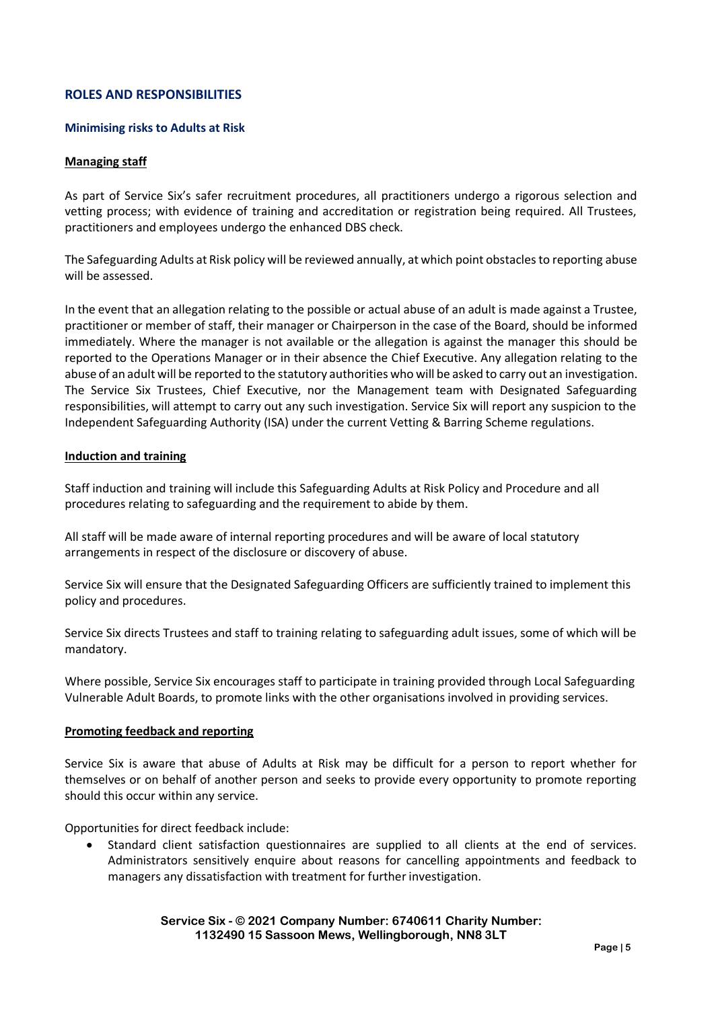## **ROLES AND RESPONSIBILITIES**

#### **Minimising risks to Adults at Risk**

#### **Managing staff**

As part of Service Six's safer recruitment procedures, all practitioners undergo a rigorous selection and vetting process; with evidence of training and accreditation or registration being required. All Trustees, practitioners and employees undergo the enhanced DBS check.

The Safeguarding Adults at Risk policy will be reviewed annually, at which point obstaclesto reporting abuse will be assessed.

In the event that an allegation relating to the possible or actual abuse of an adult is made against a Trustee, practitioner or member of staff, their manager or Chairperson in the case of the Board, should be informed immediately. Where the manager is not available or the allegation is against the manager this should be reported to the Operations Manager or in their absence the Chief Executive. Any allegation relating to the abuse of an adult will be reported to the statutory authorities who will be asked to carry out an investigation. The Service Six Trustees, Chief Executive, nor the Management team with Designated Safeguarding responsibilities, will attempt to carry out any such investigation. Service Six will report any suspicion to the Independent Safeguarding Authority (ISA) under the current Vetting & Barring Scheme regulations.

#### **Induction and training**

Staff induction and training will include this Safeguarding Adults at Risk Policy and Procedure and all procedures relating to safeguarding and the requirement to abide by them.

All staff will be made aware of internal reporting procedures and will be aware of local statutory arrangements in respect of the disclosure or discovery of abuse.

Service Six will ensure that the Designated Safeguarding Officers are sufficiently trained to implement this policy and procedures.

Service Six directs Trustees and staff to training relating to safeguarding adult issues, some of which will be mandatory.

Where possible, Service Six encourages staff to participate in training provided through Local Safeguarding Vulnerable Adult Boards, to promote links with the other organisations involved in providing services.

#### **Promoting feedback and reporting**

Service Six is aware that abuse of Adults at Risk may be difficult for a person to report whether for themselves or on behalf of another person and seeks to provide every opportunity to promote reporting should this occur within any service.

Opportunities for direct feedback include:

 Standard client satisfaction questionnaires are supplied to all clients at the end of services. Administrators sensitively enquire about reasons for cancelling appointments and feedback to managers any dissatisfaction with treatment for further investigation.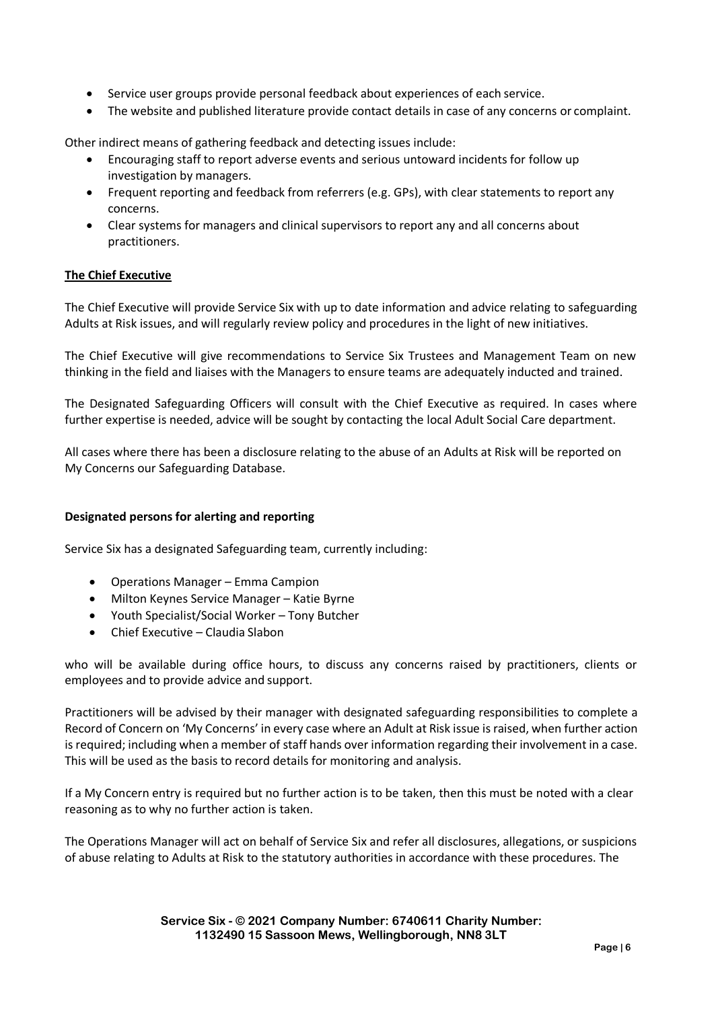- Service user groups provide personal feedback about experiences of each service.
- The website and published literature provide contact details in case of any concerns or complaint.

Other indirect means of gathering feedback and detecting issues include:

- Encouraging staff to report adverse events and serious untoward incidents for follow up investigation by managers.
- Frequent reporting and feedback from referrers (e.g. GPs), with clear statements to report any concerns.
- Clear systems for managers and clinical supervisors to report any and all concerns about practitioners.

### **The Chief Executive**

The Chief Executive will provide Service Six with up to date information and advice relating to safeguarding Adults at Risk issues, and will regularly review policy and procedures in the light of new initiatives.

The Chief Executive will give recommendations to Service Six Trustees and Management Team on new thinking in the field and liaises with the Managers to ensure teams are adequately inducted and trained.

The Designated Safeguarding Officers will consult with the Chief Executive as required. In cases where further expertise is needed, advice will be sought by contacting the local Adult Social Care department.

All cases where there has been a disclosure relating to the abuse of an Adults at Risk will be reported on My Concerns our Safeguarding Database.

### **Designated persons for alerting and reporting**

Service Six has a designated Safeguarding team, currently including:

- Operations Manager Emma Campion
- Milton Keynes Service Manager Katie Byrne
- Youth Specialist/Social Worker Tony Butcher
- Chief Executive Claudia Slabon

who will be available during office hours, to discuss any concerns raised by practitioners, clients or employees and to provide advice and support.

Practitioners will be advised by their manager with designated safeguarding responsibilities to complete a Record of Concern on 'My Concerns' in every case where an Adult at Risk issue is raised, when further action is required; including when a member of staff hands over information regarding their involvement in a case. This will be used as the basis to record details for monitoring and analysis.

If a My Concern entry is required but no further action is to be taken, then this must be noted with a clear reasoning as to why no further action is taken.

The Operations Manager will act on behalf of Service Six and refer all disclosures, allegations, or suspicions of abuse relating to Adults at Risk to the statutory authorities in accordance with these procedures. The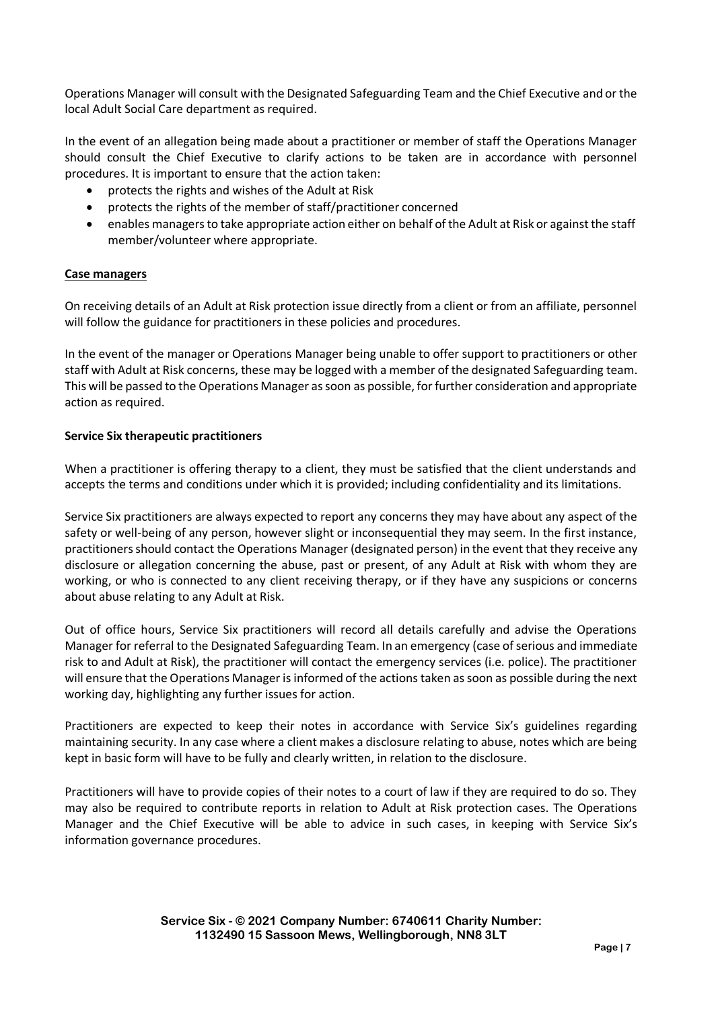Operations Manager will consult with the Designated Safeguarding Team and the Chief Executive and or the local Adult Social Care department as required.

In the event of an allegation being made about a practitioner or member of staff the Operations Manager should consult the Chief Executive to clarify actions to be taken are in accordance with personnel procedures. It is important to ensure that the action taken:

- protects the rights and wishes of the Adult at Risk
- protects the rights of the member of staff/practitioner concerned
- enables managersto take appropriate action either on behalf of the Adult at Risk or againstthe staff member/volunteer where appropriate.

#### **Case managers**

On receiving details of an Adult at Risk protection issue directly from a client or from an affiliate, personnel will follow the guidance for practitioners in these policies and procedures.

In the event of the manager or Operations Manager being unable to offer support to practitioners or other staff with Adult at Risk concerns, these may be logged with a member of the designated Safeguarding team. This will be passed to the Operations Manager as soon as possible, for further consideration and appropriate action as required.

#### **Service Six therapeutic practitioners**

When a practitioner is offering therapy to a client, they must be satisfied that the client understands and accepts the terms and conditions under which it is provided; including confidentiality and its limitations.

Service Six practitioners are always expected to report any concernsthey may have about any aspect of the safety or well-being of any person, however slight or inconsequential they may seem. In the first instance, practitioners should contact the Operations Manager (designated person) in the event that they receive any disclosure or allegation concerning the abuse, past or present, of any Adult at Risk with whom they are working, or who is connected to any client receiving therapy, or if they have any suspicions or concerns about abuse relating to any Adult at Risk.

Out of office hours, Service Six practitioners will record all details carefully and advise the Operations Manager for referral to the Designated Safeguarding Team. In an emergency (case of serious and immediate risk to and Adult at Risk), the practitioner will contact the emergency services (i.e. police). The practitioner will ensure that the Operations Manager is informed of the actions taken as soon as possible during the next working day, highlighting any further issues for action.

Practitioners are expected to keep their notes in accordance with Service Six's guidelines regarding maintaining security. In any case where a client makes a disclosure relating to abuse, notes which are being kept in basic form will have to be fully and clearly written, in relation to the disclosure.

Practitioners will have to provide copies of their notes to a court of law if they are required to do so. They may also be required to contribute reports in relation to Adult at Risk protection cases. The Operations Manager and the Chief Executive will be able to advice in such cases, in keeping with Service Six's information governance procedures.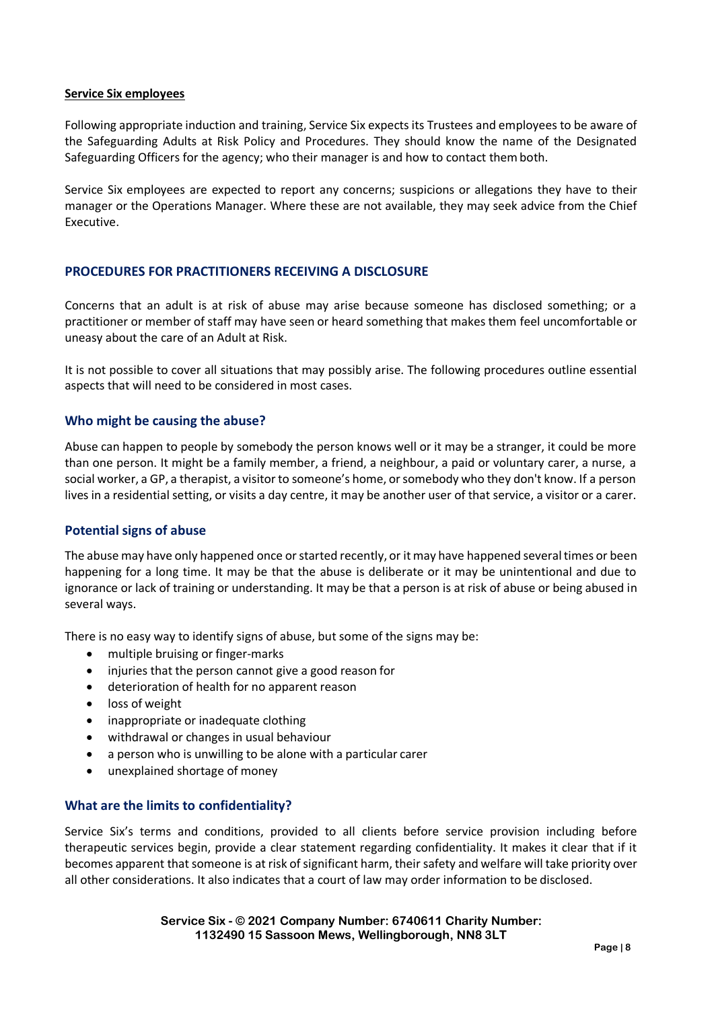#### **Service Six employees**

Following appropriate induction and training, Service Six expects its Trustees and employees to be aware of the Safeguarding Adults at Risk Policy and Procedures. They should know the name of the Designated Safeguarding Officers for the agency; who their manager is and how to contact themboth.

Service Six employees are expected to report any concerns; suspicions or allegations they have to their manager or the Operations Manager. Where these are not available, they may seek advice from the Chief Executive.

## **PROCEDURES FOR PRACTITIONERS RECEIVING A DISCLOSURE**

Concerns that an adult is at risk of abuse may arise because someone has disclosed something; or a practitioner or member of staff may have seen or heard something that makes them feel uncomfortable or uneasy about the care of an Adult at Risk.

It is not possible to cover all situations that may possibly arise. The following procedures outline essential aspects that will need to be considered in most cases.

### **Who might be causing the abuse?**

Abuse can happen to people by somebody the person knows well or it may be a stranger, it could be more than one person. It might be a family member, a friend, a neighbour, a paid or voluntary carer, a nurse, a social worker, a GP, a therapist, a visitor to someone's home, orsomebody who they don't know. If a person lives in a residential setting, or visits a day centre, it may be another user of that service, a visitor or a carer.

### **Potential signs of abuse**

The abuse may have only happened once or started recently, or it may have happened several times or been happening for a long time. It may be that the abuse is deliberate or it may be unintentional and due to ignorance or lack of training or understanding. It may be that a person is at risk of abuse or being abused in several ways.

There is no easy way to identify signs of abuse, but some of the signs may be:

- multiple bruising or finger-marks
- injuries that the person cannot give a good reason for
- deterioration of health for no apparent reason
- loss of weight
- inappropriate or inadequate clothing
- withdrawal or changes in usual behaviour
- a person who is unwilling to be alone with a particular carer
- unexplained shortage of money

### **What are the limits to confidentiality?**

Service Six's terms and conditions, provided to all clients before service provision including before therapeutic services begin, provide a clear statement regarding confidentiality. It makes it clear that if it becomes apparent that someone is at risk of significant harm, their safety and welfare will take priority over all other considerations. It also indicates that a court of law may order information to be disclosed.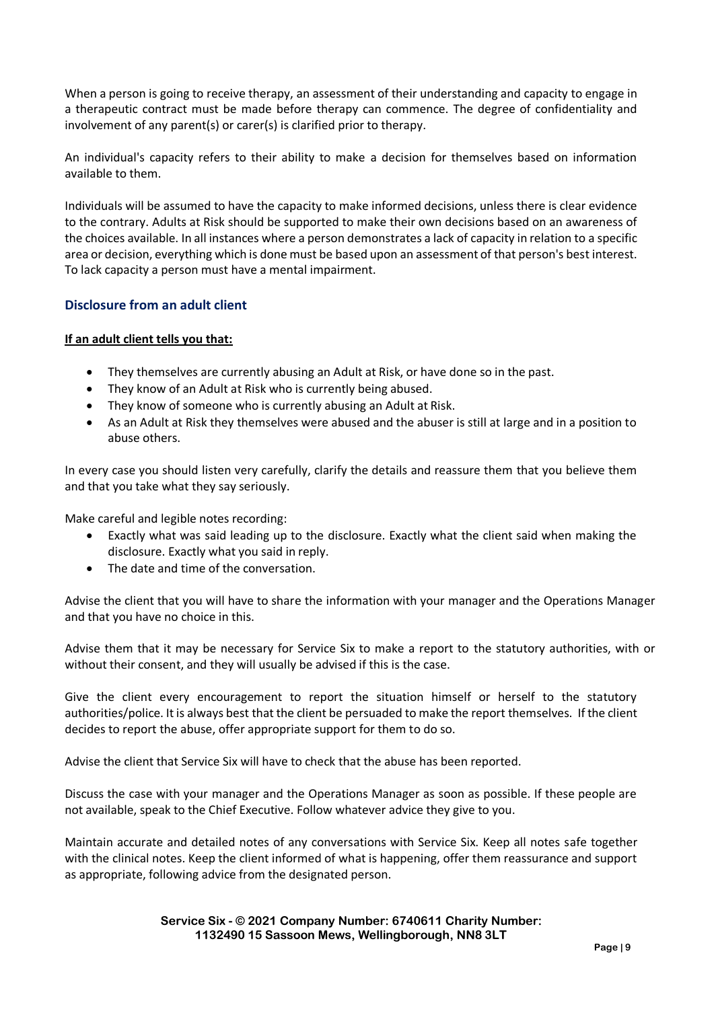When a person is going to receive therapy, an assessment of their understanding and capacity to engage in a therapeutic contract must be made before therapy can commence. The degree of confidentiality and involvement of any parent(s) or carer(s) is clarified prior to therapy.

An individual's capacity refers to their ability to make a decision for themselves based on information available to them.

Individuals will be assumed to have the capacity to make informed decisions, unless there is clear evidence to the contrary. Adults at Risk should be supported to make their own decisions based on an awareness of the choices available. In all instances where a person demonstrates a lack of capacity in relation to a specific area or decision, everything which is done must be based upon an assessment of that person's best interest. To lack capacity a person must have a mental impairment.

# **Disclosure from an adult client**

### **If an adult client tells you that:**

- They themselves are currently abusing an Adult at Risk, or have done so in the past.
- They know of an Adult at Risk who is currently being abused.
- They know of someone who is currently abusing an Adult at Risk.
- As an Adult at Risk they themselves were abused and the abuser is still at large and in a position to abuse others.

In every case you should listen very carefully, clarify the details and reassure them that you believe them and that you take what they say seriously.

Make careful and legible notes recording:

- Exactly what was said leading up to the disclosure. Exactly what the client said when making the disclosure. Exactly what you said in reply.
- The date and time of the conversation.

Advise the client that you will have to share the information with your manager and the Operations Manager and that you have no choice in this.

Advise them that it may be necessary for Service Six to make a report to the statutory authorities, with or without their consent, and they will usually be advised if this is the case.

Give the client every encouragement to report the situation himself or herself to the statutory authorities/police. It is always best that the client be persuaded to make the report themselves. If the client decides to report the abuse, offer appropriate support for them to do so.

Advise the client that Service Six will have to check that the abuse has been reported.

Discuss the case with your manager and the Operations Manager as soon as possible. If these people are not available, speak to the Chief Executive. Follow whatever advice they give to you.

Maintain accurate and detailed notes of any conversations with Service Six. Keep all notes safe together with the clinical notes. Keep the client informed of what is happening, offer them reassurance and support as appropriate, following advice from the designated person.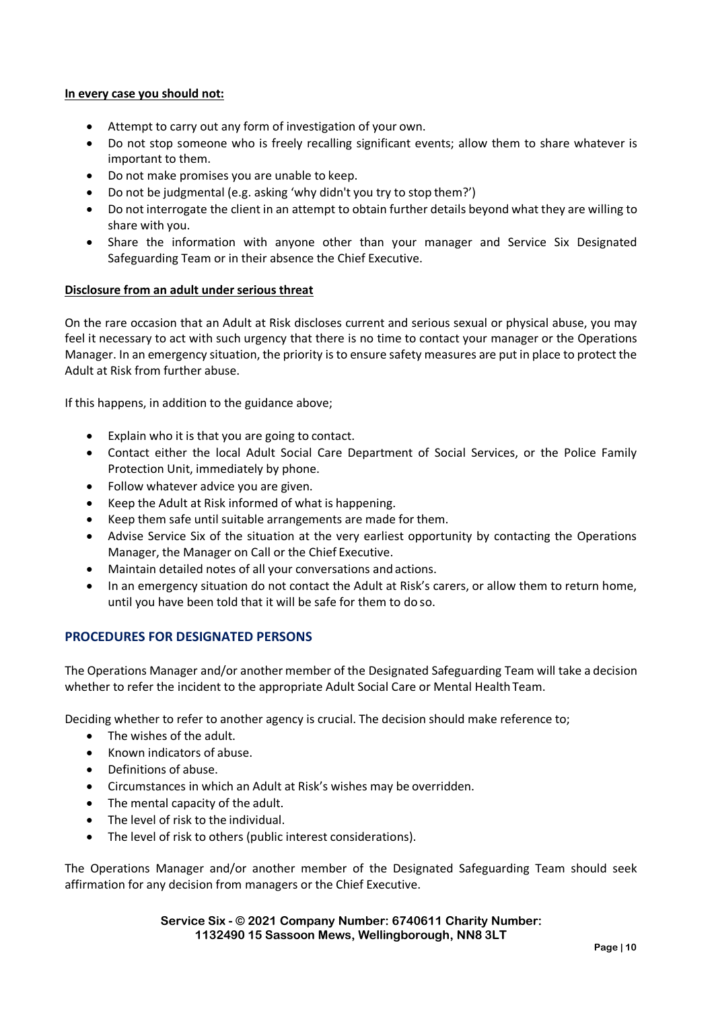#### **In every case you should not:**

- Attempt to carry out any form of investigation of your own.
- Do not stop someone who is freely recalling significant events; allow them to share whatever is important to them.
- Do not make promises you are unable to keep.
- Do not be judgmental (e.g. asking 'why didn't you try to stop them?')
- Do not interrogate the client in an attempt to obtain further details beyond what they are willing to share with you.
- Share the information with anyone other than your manager and Service Six Designated Safeguarding Team or in their absence the Chief Executive.

#### **Disclosure from an adult under serious threat**

On the rare occasion that an Adult at Risk discloses current and serious sexual or physical abuse, you may feel it necessary to act with such urgency that there is no time to contact your manager or the Operations Manager. In an emergency situation, the priority is to ensure safety measures are put in place to protect the Adult at Risk from further abuse.

If this happens, in addition to the guidance above;

- Explain who it is that you are going to contact.
- Contact either the local Adult Social Care Department of Social Services, or the Police Family Protection Unit, immediately by phone.
- Follow whatever advice you are given.
- Keep the Adult at Risk informed of what is happening.
- Keep them safe until suitable arrangements are made for them.
- Advise Service Six of the situation at the very earliest opportunity by contacting the Operations Manager, the Manager on Call or the Chief Executive.
- Maintain detailed notes of all your conversations and actions.
- In an emergency situation do not contact the Adult at Risk's carers, or allow them to return home, until you have been told that it will be safe for them to do so.

## **PROCEDURES FOR DESIGNATED PERSONS**

The Operations Manager and/or another member of the Designated Safeguarding Team will take a decision whether to refer the incident to the appropriate Adult Social Care or Mental Health Team.

Deciding whether to refer to another agency is crucial. The decision should make reference to;

- The wishes of the adult.
- Known indicators of abuse.
- Definitions of abuse.
- Circumstances in which an Adult at Risk's wishes may be overridden.
- The mental capacity of the adult.
- The level of risk to the individual.
- The level of risk to others (public interest considerations).

The Operations Manager and/or another member of the Designated Safeguarding Team should seek affirmation for any decision from managers or the Chief Executive.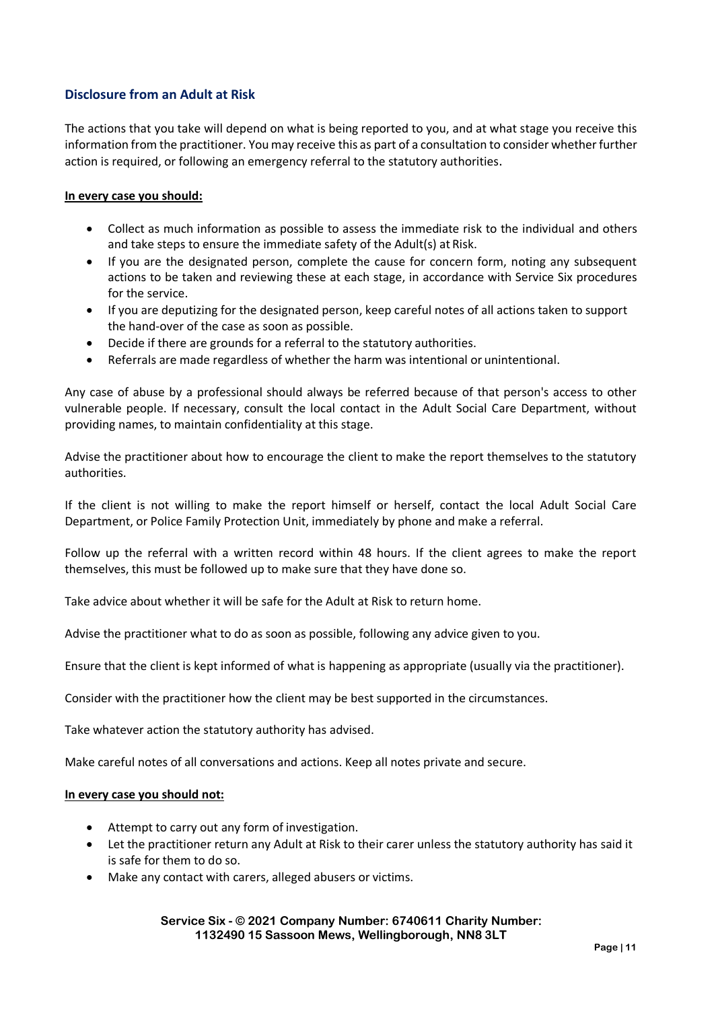# **Disclosure from an Adult at Risk**

The actions that you take will depend on what is being reported to you, and at what stage you receive this information from the practitioner. You may receive this as part of a consultation to consider whether further action is required, or following an emergency referral to the statutory authorities.

#### **In every case you should:**

- Collect as much information as possible to assess the immediate risk to the individual and others and take steps to ensure the immediate safety of the Adult(s) at Risk.
- If you are the designated person, complete the cause for concern form, noting any subsequent actions to be taken and reviewing these at each stage, in accordance with Service Six procedures for the service.
- If you are deputizing for the designated person, keep careful notes of all actions taken to support the hand-over of the case as soon as possible.
- Decide if there are grounds for a referral to the statutory authorities.
- Referrals are made regardless of whether the harm was intentional or unintentional.

Any case of abuse by a professional should always be referred because of that person's access to other vulnerable people. If necessary, consult the local contact in the Adult Social Care Department, without providing names, to maintain confidentiality at this stage.

Advise the practitioner about how to encourage the client to make the report themselves to the statutory authorities.

If the client is not willing to make the report himself or herself, contact the local Adult Social Care Department, or Police Family Protection Unit, immediately by phone and make a referral.

Follow up the referral with a written record within 48 hours. If the client agrees to make the report themselves, this must be followed up to make sure that they have done so.

Take advice about whether it will be safe for the Adult at Risk to return home.

Advise the practitioner what to do as soon as possible, following any advice given to you.

Ensure that the client is kept informed of what is happening as appropriate (usually via the practitioner).

Consider with the practitioner how the client may be best supported in the circumstances.

Take whatever action the statutory authority has advised.

Make careful notes of all conversations and actions. Keep all notes private and secure.

#### **In every case you should not:**

- Attempt to carry out any form of investigation.
- Let the practitioner return any Adult at Risk to their carer unless the statutory authority has said it is safe for them to do so.
- Make any contact with carers, alleged abusers or victims.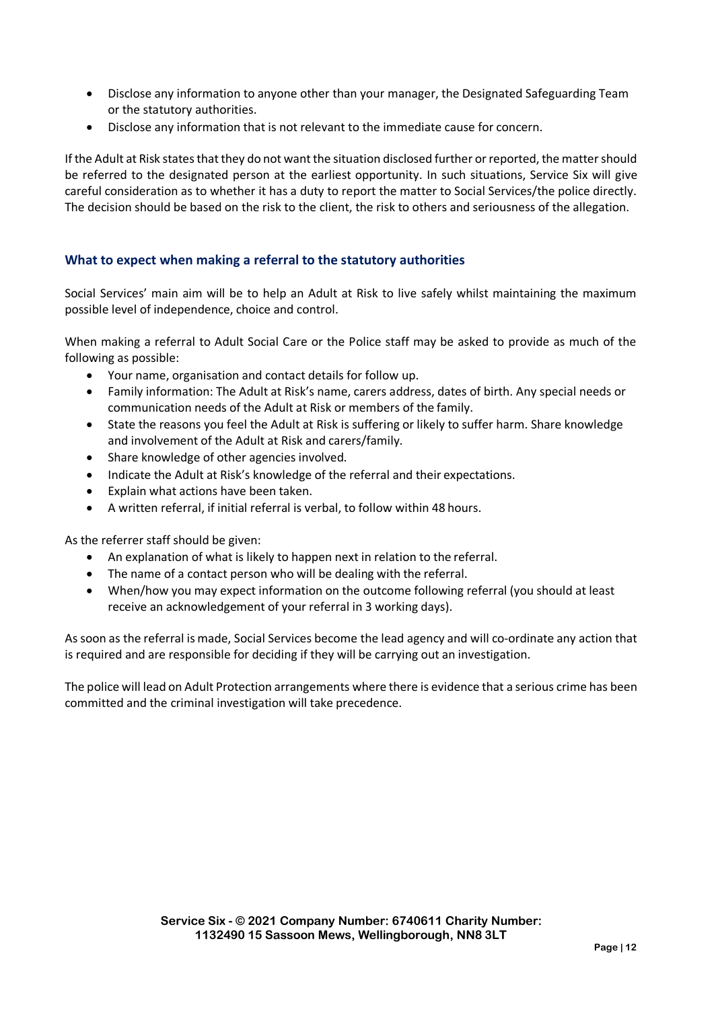- Disclose any information to anyone other than your manager, the Designated Safeguarding Team or the statutory authorities.
- Disclose any information that is not relevant to the immediate cause for concern.

If the Adult at Risk states that they do not want the situation disclosed further or reported, the matter should be referred to the designated person at the earliest opportunity. In such situations, Service Six will give careful consideration as to whether it has a duty to report the matter to Social Services/the police directly. The decision should be based on the risk to the client, the risk to others and seriousness of the allegation.

## **What to expect when making a referral to the statutory authorities**

Social Services' main aim will be to help an Adult at Risk to live safely whilst maintaining the maximum possible level of independence, choice and control.

When making a referral to Adult Social Care or the Police staff may be asked to provide as much of the following as possible:

- Your name, organisation and contact details for follow up.
- Family information: The Adult at Risk's name, carers address, dates of birth. Any special needs or communication needs of the Adult at Risk or members of the family.
- State the reasons you feel the Adult at Risk is suffering or likely to suffer harm. Share knowledge and involvement of the Adult at Risk and carers/family.
- Share knowledge of other agencies involved.
- Indicate the Adult at Risk's knowledge of the referral and their expectations.
- Explain what actions have been taken.
- A written referral, if initial referral is verbal, to follow within 48 hours.

As the referrer staff should be given:

- An explanation of what is likely to happen next in relation to the referral.
- The name of a contact person who will be dealing with the referral.
- When/how you may expect information on the outcome following referral (you should at least receive an acknowledgement of your referral in 3 working days).

As soon as the referral is made, Social Services become the lead agency and will co-ordinate any action that is required and are responsible for deciding if they will be carrying out an investigation.

The police will lead on Adult Protection arrangements where there is evidence that a serious crime has been committed and the criminal investigation will take precedence.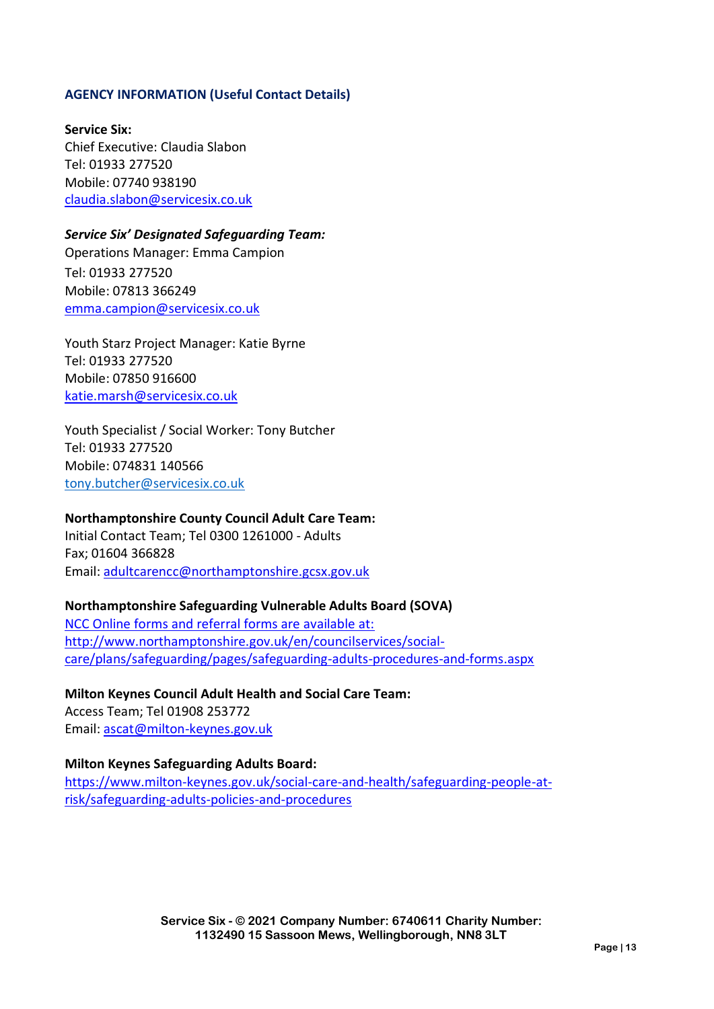## **AGENCY INFORMATION (Useful Contact Details)**

**Service Six:** Chief Executive: Claudia Slabon Tel: 01933 277520 Mobile: 07740 938190 [claudia.slabon@servicesix.co.uk](mailto:claudia.slabon@servicesix.co.uk)

# *Service Six' Designated Safeguarding Team:*

Operations Manager: Emma Campion Tel: 01933 277520 Mobile: 07813 366249 [emma.campion@servicesix.co.uk](mailto:emma.campion@servicesix.co.uk)

Youth Starz Project Manager: Katie Byrne Tel: 01933 277520 Mobile: 07850 916600 [katie.marsh@servicesix.co.uk](mailto:katie.marsh@servicesix.co.uk)

Youth Specialist / Social Worker: Tony Butcher Tel: 01933 277520 Mobile: 074831 140566 [tony.butcher@servicesix.co.uk](mailto:tony.butcher@servicesix.co.uk)

# **Northamptonshire County Council Adult Care Team:**

Initial Contact Team; Tel 0300 1261000 - Adults Fax; 01604 366828 Email: [adultcarencc@northamptonshire.gcsx.gov.uk](mailto:adultcarencc@northamptonshire.gcsx.gov.uk)

## **Northamptonshire Safeguarding Vulnerable Adults Board (SOVA)**

NCC Online forms and referral forms are available at: [http://www.northamptonshire.gov.uk/en/councilservices/social](http://www.northamptonshire.gov.uk/en/councilservices/social-care/plans/safeguarding/pages/safeguarding-adults-procedures-and-forms.aspx)[care/plans/safeguarding/pages/safeguarding-adults-procedures-and-forms.aspx](http://www.northamptonshire.gov.uk/en/councilservices/social-care/plans/safeguarding/pages/safeguarding-adults-procedures-and-forms.aspx)

# **Milton Keynes Council Adult Health and Social Care Team:**

Access Team; Tel 01908 253772 Email: [ascat@milton-keynes.gov.uk](mailto:ascat@milton-keynes.gov.uk)

## **Milton Keynes Safeguarding Adults Board:**

[https://www.milton-keynes.gov.uk/social-care-and-health/safeguarding-people-at](https://www.milton-keynes.gov.uk/social-care-and-health/safeguarding-people-at-risk/safeguarding-adults-policies-and-procedures)[risk/safeguarding-adults-policies-and-procedures](https://www.milton-keynes.gov.uk/social-care-and-health/safeguarding-people-at-risk/safeguarding-adults-policies-and-procedures)